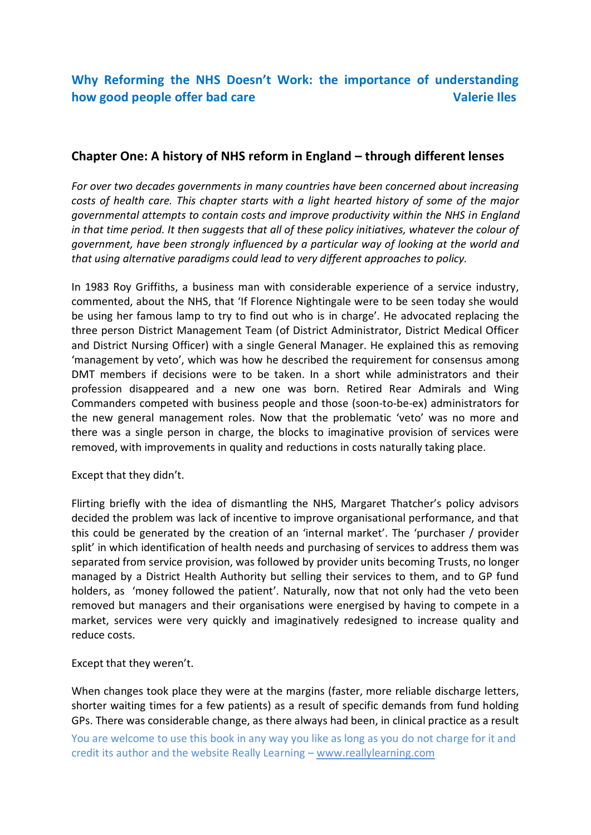# **Chapter One: A history of NHS reform in England – through different lenses**

*For over two decades governments in many countries have been concerned about increasing costs of health care. This chapter starts with a light hearted history of some of the major governmental attempts to contain costs and improve productivity within the NHS in England in that time period. It then suggests that all of these policy initiatives, whatever the colour of government, have been strongly influenced by a particular way of looking at the world and that using alternative paradigms could lead to very different approaches to policy.*

In 1983 Roy Griffiths, a business man with considerable experience of a service industry, commented, about the NHS, that 'If Florence Nightingale were to be seen today she would be using her famous lamp to try to find out who is in charge'. He advocated replacing the three person District Management Team (of District Administrator, District Medical Officer and District Nursing Officer) with a single General Manager. He explained this as removing 'management by veto', which was how he described the requirement for consensus among DMT members if decisions were to be taken. In a short while administrators and their profession disappeared and a new one was born. Retired Rear Admirals and Wing Commanders competed with business people and those (soon-to-be-ex) administrators for the new general management roles. Now that the problematic 'veto' was no more and there was a single person in charge, the blocks to imaginative provision of services were removed, with improvements in quality and reductions in costs naturally taking place.

Except that they didn't.

Flirting briefly with the idea of dismantling the NHS, Margaret Thatcher's policy advisors decided the problem was lack of incentive to improve organisational performance, and that this could be generated by the creation of an 'internal market'. The 'purchaser / provider split' in which identification of health needs and purchasing of services to address them was separated from service provision, was followed by provider units becoming Trusts, no longer managed by a District Health Authority but selling their services to them, and to GP fund holders, as 'money followed the patient'. Naturally, now that not only had the veto been removed but managers and their organisations were energised by having to compete in a market, services were very quickly and imaginatively redesigned to increase quality and reduce costs.

Except that they weren't.

When changes took place they were at the margins (faster, more reliable discharge letters, shorter waiting times for a few patients) as a result of specific demands from fund holding GPs. There was considerable change, as there always had been, in clinical practice as a result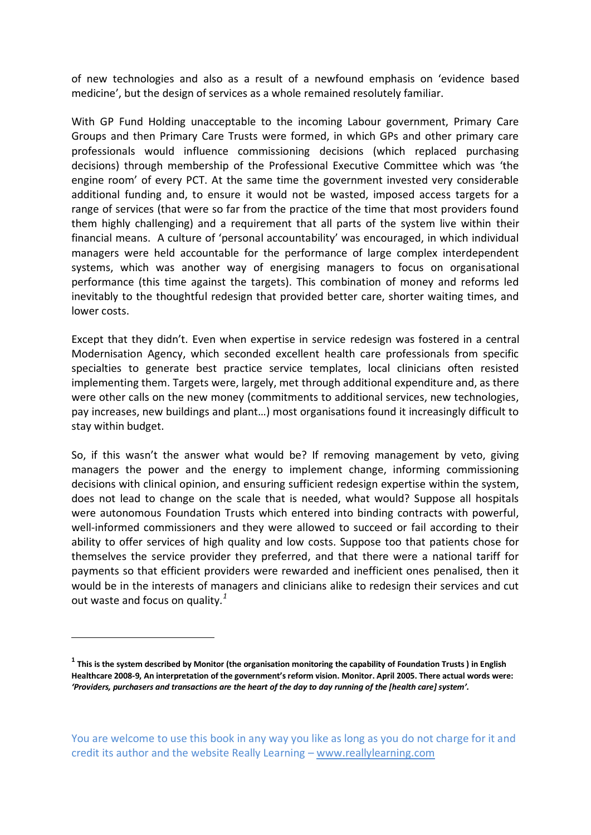of new technologies and also as a result of a newfound emphasis on 'evidence based medicine', but the design of services as a whole remained resolutely familiar.

With GP Fund Holding unacceptable to the incoming Labour government, Primary Care Groups and then Primary Care Trusts were formed, in which GPs and other primary care professionals would influence commissioning decisions (which replaced purchasing decisions) through membership of the Professional Executive Committee which was 'the engine room' of every PCT. At the same time the government invested very considerable additional funding and, to ensure it would not be wasted, imposed access targets for a range of services (that were so far from the practice of the time that most providers found them highly challenging) and a requirement that all parts of the system live within their financial means. A culture of 'personal accountability' was encouraged, in which individual managers were held accountable for the performance of large complex interdependent systems, which was another way of energising managers to focus on organisational performance (this time against the targets). This combination of money and reforms led inevitably to the thoughtful redesign that provided better care, shorter waiting times, and lower costs.

Except that they didn't. Even when expertise in service redesign was fostered in a central Modernisation Agency, which seconded excellent health care professionals from specific specialties to generate best practice service templates, local clinicians often resisted implementing them. Targets were, largely, met through additional expenditure and, as there were other calls on the new money (commitments to additional services, new technologies, pay increases, new buildings and plant…) most organisations found it increasingly difficult to stay within budget.

So, if this wasn't the answer what would be? If removing management by veto, giving managers the power and the energy to implement change, informing commissioning decisions with clinical opinion, and ensuring sufficient redesign expertise within the system, does not lead to change on the scale that is needed, what would? Suppose all hospitals were autonomous Foundation Trusts which entered into binding contracts with powerful, well-informed commissioners and they were allowed to succeed or fail according to their ability to offer services of high quality and low costs. Suppose too that patients chose for themselves the service provider they preferred, and that there were a national tariff for payments so that efficient providers were rewarded and inefficient ones penalised, then it would be in the interests of managers and clinicians alike to redesign their services and cut out waste and focus on quality*. 1*

-

**<sup>1</sup> This is the system described by Monitor (the organisation monitoring the capability of Foundation Trusts ) in English Healthcare 2008-9, An interpretation of the government's reform vision. Monitor. April 2005. There actual words were:**  *'Providers, purchasers and transactions are the heart of the day to day running of the [health care] system'.*

You are welcome to use this book in any way you like as long as you do not charge for it and credit its author and the website Really Learning – www.reallylearning.com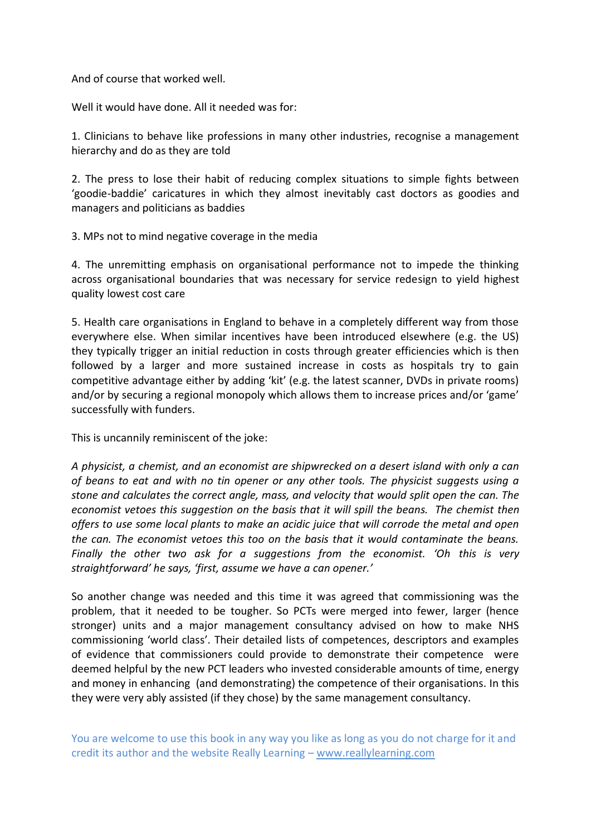And of course that worked well.

Well it would have done. All it needed was for:

1. Clinicians to behave like professions in many other industries, recognise a management hierarchy and do as they are told

2. The press to lose their habit of reducing complex situations to simple fights between 'goodie-baddie' caricatures in which they almost inevitably cast doctors as goodies and managers and politicians as baddies

3. MPs not to mind negative coverage in the media

4. The unremitting emphasis on organisational performance not to impede the thinking across organisational boundaries that was necessary for service redesign to yield highest quality lowest cost care

5. Health care organisations in England to behave in a completely different way from those everywhere else. When similar incentives have been introduced elsewhere (e.g. the US) they typically trigger an initial reduction in costs through greater efficiencies which is then followed by a larger and more sustained increase in costs as hospitals try to gain competitive advantage either by adding 'kit' (e.g. the latest scanner, DVDs in private rooms) and/or by securing a regional monopoly which allows them to increase prices and/or 'game' successfully with funders.

This is uncannily reminiscent of the joke:

*A physicist, a chemist, and an economist are shipwrecked on a desert island with only a can of beans to eat and with no tin opener or any other tools. The physicist suggests using a stone and calculates the correct angle, mass, and velocity that would split open the can. The economist vetoes this suggestion on the basis that it will spill the beans. The chemist then offers to use some local plants to make an acidic juice that will corrode the metal and open the can. The economist vetoes this too on the basis that it would contaminate the beans. Finally the other two ask for a suggestions from the economist. 'Oh this is very straightforward' he says, 'first, assume we have a can opener.'* 

So another change was needed and this time it was agreed that commissioning was the problem, that it needed to be tougher. So PCTs were merged into fewer, larger (hence stronger) units and a major management consultancy advised on how to make NHS commissioning 'world class'. Their detailed lists of competences, descriptors and examples of evidence that commissioners could provide to demonstrate their competence were deemed helpful by the new PCT leaders who invested considerable amounts of time, energy and money in enhancing (and demonstrating) the competence of their organisations. In this they were very ably assisted (if they chose) by the same management consultancy.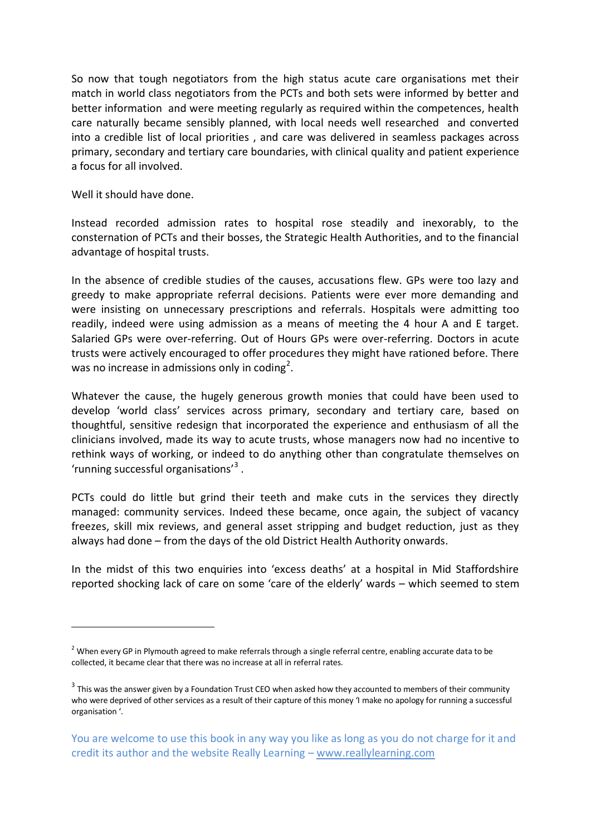So now that tough negotiators from the high status acute care organisations met their match in world class negotiators from the PCTs and both sets were informed by better and better information and were meeting regularly as required within the competences, health care naturally became sensibly planned, with local needs well researched and converted into a credible list of local priorities , and care was delivered in seamless packages across primary, secondary and tertiary care boundaries, with clinical quality and patient experience a focus for all involved.

Well it should have done.

-

Instead recorded admission rates to hospital rose steadily and inexorably, to the consternation of PCTs and their bosses, the Strategic Health Authorities, and to the financial advantage of hospital trusts.

In the absence of credible studies of the causes, accusations flew. GPs were too lazy and greedy to make appropriate referral decisions. Patients were ever more demanding and were insisting on unnecessary prescriptions and referrals. Hospitals were admitting too readily, indeed were using admission as a means of meeting the 4 hour A and E target. Salaried GPs were over-referring. Out of Hours GPs were over-referring. Doctors in acute trusts were actively encouraged to offer procedures they might have rationed before. There was no increase in admissions only in coding<sup>2</sup>.

Whatever the cause, the hugely generous growth monies that could have been used to develop 'world class' services across primary, secondary and tertiary care, based on thoughtful, sensitive redesign that incorporated the experience and enthusiasm of all the clinicians involved, made its way to acute trusts, whose managers now had no incentive to rethink ways of working, or indeed to do anything other than congratulate themselves on 'running successful organisations'<sup>3</sup>.

PCTs could do little but grind their teeth and make cuts in the services they directly managed: community services. Indeed these became, once again, the subject of vacancy freezes, skill mix reviews, and general asset stripping and budget reduction, just as they always had done – from the days of the old District Health Authority onwards.

In the midst of this two enquiries into 'excess deaths' at a hospital in Mid Staffordshire reported shocking lack of care on some 'care of the elderly' wards – which seemed to stem

 $2$  When every GP in Plymouth agreed to make referrals through a single referral centre, enabling accurate data to be collected, it became clear that there was no increase at all in referral rates.

 $3$  This was the answer given by a Foundation Trust CEO when asked how they accounted to members of their community who were deprived of other services as a result of their capture of this money 'I make no apology for running a successful organisation '.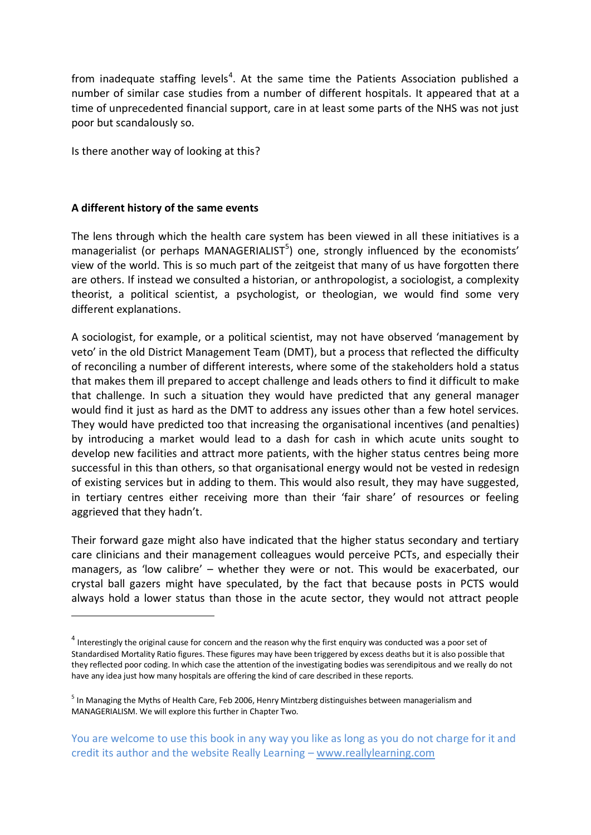from inadequate staffing levels<sup>4</sup>. At the same time the Patients Association published a number of similar case studies from a number of different hospitals. It appeared that at a time of unprecedented financial support, care in at least some parts of the NHS was not just poor but scandalously so.

Is there another way of looking at this?

### **A different history of the same events**

<u>.</u>

The lens through which the health care system has been viewed in all these initiatives is a managerialist (or perhaps MANAGERIALIST<sup>5</sup>) one, strongly influenced by the economists' view of the world. This is so much part of the zeitgeist that many of us have forgotten there are others. If instead we consulted a historian, or anthropologist, a sociologist, a complexity theorist, a political scientist, a psychologist, or theologian, we would find some very different explanations.

A sociologist, for example, or a political scientist, may not have observed 'management by veto' in the old District Management Team (DMT), but a process that reflected the difficulty of reconciling a number of different interests, where some of the stakeholders hold a status that makes them ill prepared to accept challenge and leads others to find it difficult to make that challenge. In such a situation they would have predicted that any general manager would find it just as hard as the DMT to address any issues other than a few hotel services. They would have predicted too that increasing the organisational incentives (and penalties) by introducing a market would lead to a dash for cash in which acute units sought to develop new facilities and attract more patients, with the higher status centres being more successful in this than others, so that organisational energy would not be vested in redesign of existing services but in adding to them. This would also result, they may have suggested, in tertiary centres either receiving more than their 'fair share' of resources or feeling aggrieved that they hadn't.

Their forward gaze might also have indicated that the higher status secondary and tertiary care clinicians and their management colleagues would perceive PCTs, and especially their managers, as 'low calibre' – whether they were or not. This would be exacerbated, our crystal ball gazers might have speculated, by the fact that because posts in PCTS would always hold a lower status than those in the acute sector, they would not attract people

 $^4$  Interestingly the original cause for concern and the reason why the first enquiry was conducted was a poor set of Standardised Mortality Ratio figures. These figures may have been triggered by excess deaths but it is also possible that they reflected poor coding. In which case the attention of the investigating bodies was serendipitous and we really do not have any idea just how many hospitals are offering the kind of care described in these reports.

<sup>&</sup>lt;sup>5</sup> In Managing the Myths of Health Care, Feb 2006, Henry Mintzberg distinguishes between managerialism and MANAGERIALISM. We will explore this further in Chapter Two.

You are welcome to use this book in any way you like as long as you do not charge for it and credit its author and the website Really Learning – www.reallylearning.com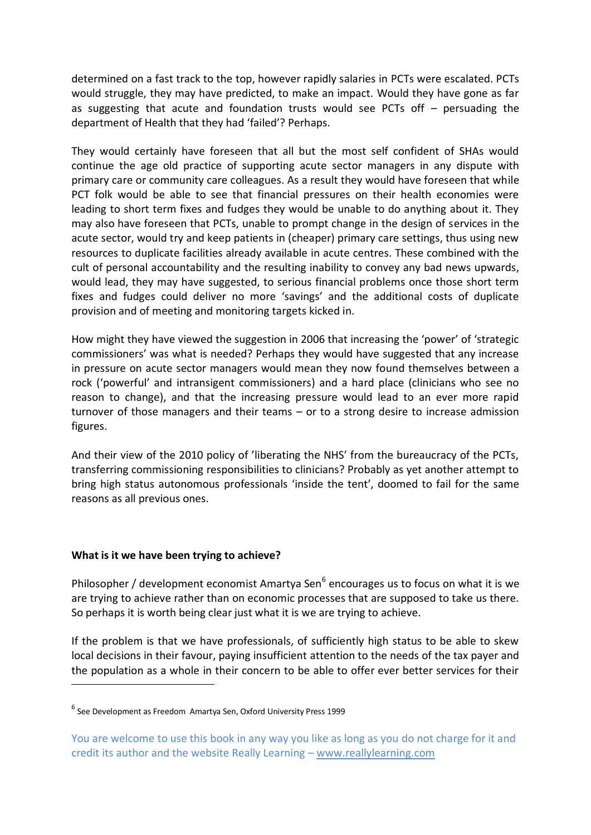determined on a fast track to the top, however rapidly salaries in PCTs were escalated. PCTs would struggle, they may have predicted, to make an impact. Would they have gone as far as suggesting that acute and foundation trusts would see PCTs off – persuading the department of Health that they had 'failed'? Perhaps.

They would certainly have foreseen that all but the most self confident of SHAs would continue the age old practice of supporting acute sector managers in any dispute with primary care or community care colleagues. As a result they would have foreseen that while PCT folk would be able to see that financial pressures on their health economies were leading to short term fixes and fudges they would be unable to do anything about it. They may also have foreseen that PCTs, unable to prompt change in the design of services in the acute sector, would try and keep patients in (cheaper) primary care settings, thus using new resources to duplicate facilities already available in acute centres. These combined with the cult of personal accountability and the resulting inability to convey any bad news upwards, would lead, they may have suggested, to serious financial problems once those short term fixes and fudges could deliver no more 'savings' and the additional costs of duplicate provision and of meeting and monitoring targets kicked in.

How might they have viewed the suggestion in 2006 that increasing the 'power' of 'strategic commissioners' was what is needed? Perhaps they would have suggested that any increase in pressure on acute sector managers would mean they now found themselves between a rock ('powerful' and intransigent commissioners) and a hard place (clinicians who see no reason to change), and that the increasing pressure would lead to an ever more rapid turnover of those managers and their teams – or to a strong desire to increase admission figures.

And their view of the 2010 policy of 'liberating the NHS' from the bureaucracy of the PCTs, transferring commissioning responsibilities to clinicians? Probably as yet another attempt to bring high status autonomous professionals 'inside the tent', doomed to fail for the same reasons as all previous ones.

#### **What is it we have been trying to achieve?**

<u>.</u>

Philosopher / development economist Amartya Sen<sup>6</sup> encourages us to focus on what it is we are trying to achieve rather than on economic processes that are supposed to take us there. So perhaps it is worth being clear just what it is we are trying to achieve.

If the problem is that we have professionals, of sufficiently high status to be able to skew local decisions in their favour, paying insufficient attention to the needs of the tax payer and the population as a whole in their concern to be able to offer ever better services for their

<sup>6</sup> See Development as Freedom Amartya Sen, Oxford University Press 1999

You are welcome to use this book in any way you like as long as you do not charge for it and credit its author and the website Really Learning – www.reallylearning.com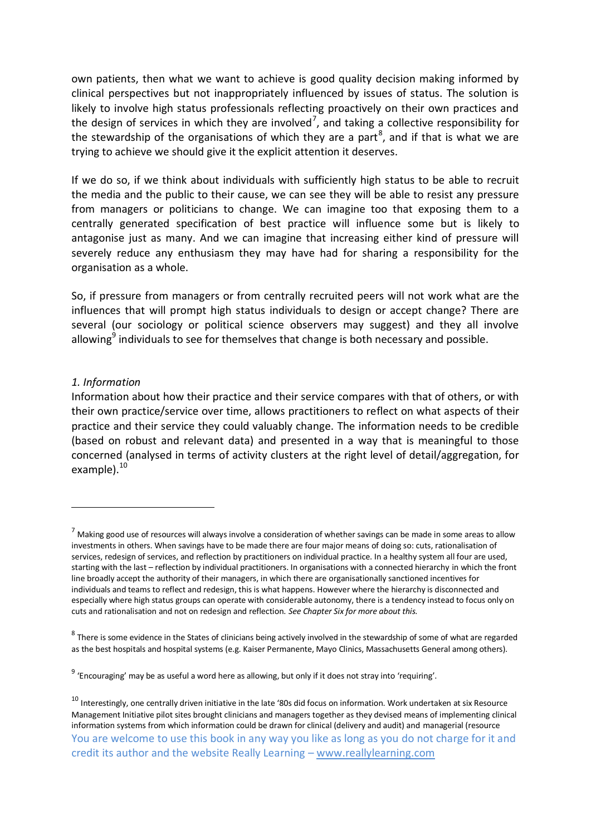own patients, then what we want to achieve is good quality decision making informed by clinical perspectives but not inappropriately influenced by issues of status. The solution is likely to involve high status professionals reflecting proactively on their own practices and the design of services in which they are involved<sup>7</sup>, and taking a collective responsibility for the stewardship of the organisations of which they are a part<sup>8</sup>, and if that is what we are trying to achieve we should give it the explicit attention it deserves.

If we do so, if we think about individuals with sufficiently high status to be able to recruit the media and the public to their cause, we can see they will be able to resist any pressure from managers or politicians to change. We can imagine too that exposing them to a centrally generated specification of best practice will influence some but is likely to antagonise just as many. And we can imagine that increasing either kind of pressure will severely reduce any enthusiasm they may have had for sharing a responsibility for the organisation as a whole.

So, if pressure from managers or from centrally recruited peers will not work what are the influences that will prompt high status individuals to design or accept change? There are several (our sociology or political science observers may suggest) and they all involve allowing<sup>9</sup> individuals to see for themselves that change is both necessary and possible.

#### *1. Information*

-

Information about how their practice and their service compares with that of others, or with their own practice/service over time, allows practitioners to reflect on what aspects of their practice and their service they could valuably change. The information needs to be credible (based on robust and relevant data) and presented in a way that is meaningful to those concerned (analysed in terms of activity clusters at the right level of detail/aggregation, for example). $^{10}$ 

 $<sup>7</sup>$  Making good use of resources will always involve a consideration of whether savings can be made in some areas to allow</sup> investments in others. When savings have to be made there are four major means of doing so: cuts, rationalisation of services, redesign of services, and reflection by practitioners on individual practice. In a healthy system all four are used, starting with the last – reflection by individual practitioners. In organisations with a connected hierarchy in which the front line broadly accept the authority of their managers, in which there are organisationally sanctioned incentives for individuals and teams to reflect and redesign, this is what happens. However where the hierarchy is disconnected and especially where high status groups can operate with considerable autonomy, there is a tendency instead to focus only on cuts and rationalisation and not on redesign and reflection. *See Chapter Six for more about this.* 

<sup>&</sup>lt;sup>8</sup> There is some evidence in the States of clinicians being actively involved in the stewardship of some of what are regarded as the best hospitals and hospital systems (e.g. Kaiser Permanente, Mayo Clinics, Massachusetts General among others).

<sup>&</sup>lt;sup>9</sup> 'Encouraging' may be as useful a word here as allowing, but only if it does not stray into 'requiring'.

You are welcome to use this book in any way you like as long as you do not charge for it and credit its author and the website Really Learning – www.reallylearning.com  $10$  Interestingly, one centrally driven initiative in the late '80s did focus on information. Work undertaken at six Resource Management Initiative pilot sites brought clinicians and managers together as they devised means of implementing clinical information systems from which information could be drawn for clinical (delivery and audit) and managerial (resource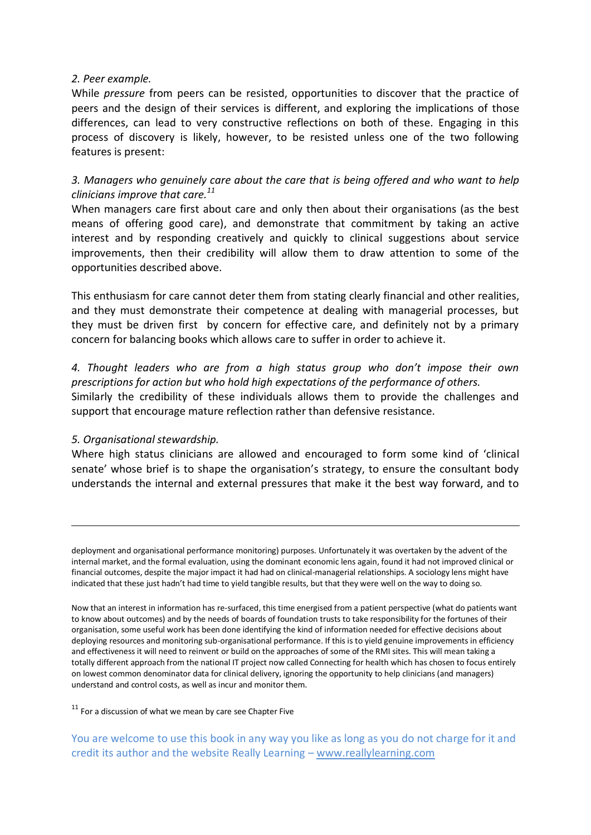#### *2. Peer example.*

While *pressure* from peers can be resisted, opportunities to discover that the practice of peers and the design of their services is different, and exploring the implications of those differences, can lead to very constructive reflections on both of these. Engaging in this process of discovery is likely, however, to be resisted unless one of the two following features is present:

## *3. Managers who genuinely care about the care that is being offered and who want to help clinicians improve that care.<sup>11</sup>*

When managers care first about care and only then about their organisations (as the best means of offering good care), and demonstrate that commitment by taking an active interest and by responding creatively and quickly to clinical suggestions about service improvements, then their credibility will allow them to draw attention to some of the opportunities described above.

This enthusiasm for care cannot deter them from stating clearly financial and other realities, and they must demonstrate their competence at dealing with managerial processes, but they must be driven first by concern for effective care, and definitely not by a primary concern for balancing books which allows care to suffer in order to achieve it.

*4. Thought leaders who are from a high status group who don't impose their own prescriptions for action but who hold high expectations of the performance of others.* Similarly the credibility of these individuals allows them to provide the challenges and support that encourage mature reflection rather than defensive resistance.

#### *5. Organisational stewardship.*

-

Where high status clinicians are allowed and encouraged to form some kind of 'clinical senate' whose brief is to shape the organisation's strategy, to ensure the consultant body understands the internal and external pressures that make it the best way forward, and to

 $11$  For a discussion of what we mean by care see Chapter Five

deployment and organisational performance monitoring) purposes. Unfortunately it was overtaken by the advent of the internal market, and the formal evaluation, using the dominant economic lens again, found it had not improved clinical or financial outcomes, despite the major impact it had had on clinical-managerial relationships. A sociology lens might have indicated that these just hadn't had time to yield tangible results, but that they were well on the way to doing so.

Now that an interest in information has re-surfaced, this time energised from a patient perspective (what do patients want to know about outcomes) and by the needs of boards of foundation trusts to take responsibility for the fortunes of their organisation, some useful work has been done identifying the kind of information needed for effective decisions about deploying resources and monitoring sub-organisational performance. If this is to yield genuine improvements in efficiency and effectiveness it will need to reinvent or build on the approaches of some of the RMI sites. This will mean taking a totally different approach from the national IT project now called Connecting for health which has chosen to focus entirely on lowest common denominator data for clinical delivery, ignoring the opportunity to help clinicians (and managers) understand and control costs, as well as incur and monitor them.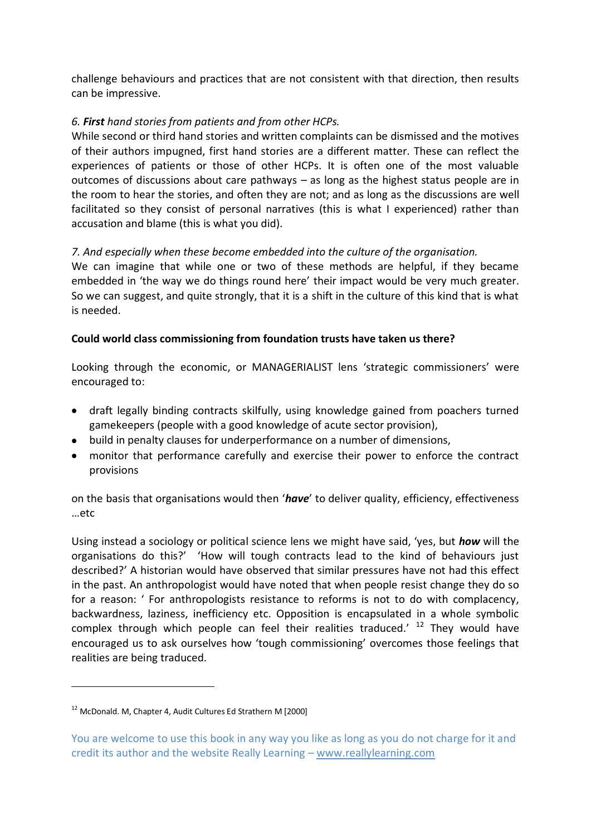challenge behaviours and practices that are not consistent with that direction, then results can be impressive.

## *6. First hand stories from patients and from other HCPs.*

While second or third hand stories and written complaints can be dismissed and the motives of their authors impugned, first hand stories are a different matter. These can reflect the experiences of patients or those of other HCPs. It is often one of the most valuable outcomes of discussions about care pathways – as long as the highest status people are in the room to hear the stories, and often they are not; and as long as the discussions are well facilitated so they consist of personal narratives (this is what I experienced) rather than accusation and blame (this is what you did).

## *7. And especially when these become embedded into the culture of the organisation.*

We can imagine that while one or two of these methods are helpful, if they became embedded in 'the way we do things round here' their impact would be very much greater. So we can suggest, and quite strongly, that it is a shift in the culture of this kind that is what is needed.

## **Could world class commissioning from foundation trusts have taken us there?**

Looking through the economic, or MANAGERIALIST lens 'strategic commissioners' were encouraged to:

- draft legally binding contracts skilfully, using knowledge gained from poachers turned gamekeepers (people with a good knowledge of acute sector provision),
- build in penalty clauses for underperformance on a number of dimensions,
- monitor that performance carefully and exercise their power to enforce the contract provisions

on the basis that organisations would then '*have*' to deliver quality, efficiency, effectiveness …etc

Using instead a sociology or political science lens we might have said, 'yes, but *how* will the organisations do this?' 'How will tough contracts lead to the kind of behaviours just described?' A historian would have observed that similar pressures have not had this effect in the past. An anthropologist would have noted that when people resist change they do so for a reason: ' For anthropologists resistance to reforms is not to do with complacency, backwardness, laziness, inefficiency etc. Opposition is encapsulated in a whole symbolic complex through which people can feel their realities traduced.'  $12$  They would have encouraged us to ask ourselves how 'tough commissioning' overcomes those feelings that realities are being traduced.

<u>.</u>

<sup>&</sup>lt;sup>12</sup> McDonald. M. Chapter 4. Audit Cultures Ed Strathern M [2000]

You are welcome to use this book in any way you like as long as you do not charge for it and credit its author and the website Really Learning – www.reallylearning.com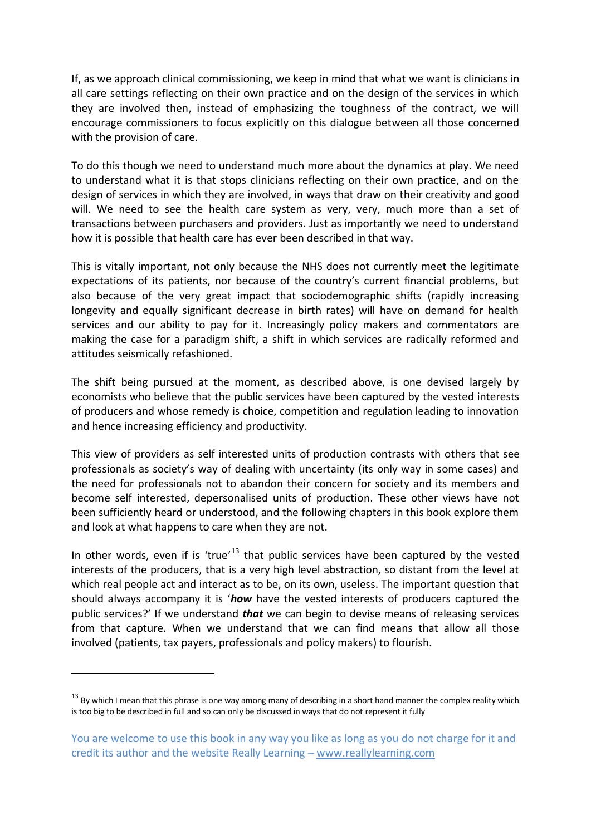If, as we approach clinical commissioning, we keep in mind that what we want is clinicians in all care settings reflecting on their own practice and on the design of the services in which they are involved then, instead of emphasizing the toughness of the contract, we will encourage commissioners to focus explicitly on this dialogue between all those concerned with the provision of care.

To do this though we need to understand much more about the dynamics at play. We need to understand what it is that stops clinicians reflecting on their own practice, and on the design of services in which they are involved, in ways that draw on their creativity and good will. We need to see the health care system as very, very, much more than a set of transactions between purchasers and providers. Just as importantly we need to understand how it is possible that health care has ever been described in that way.

This is vitally important, not only because the NHS does not currently meet the legitimate expectations of its patients, nor because of the country's current financial problems, but also because of the very great impact that sociodemographic shifts (rapidly increasing longevity and equally significant decrease in birth rates) will have on demand for health services and our ability to pay for it. Increasingly policy makers and commentators are making the case for a paradigm shift, a shift in which services are radically reformed and attitudes seismically refashioned.

The shift being pursued at the moment, as described above, is one devised largely by economists who believe that the public services have been captured by the vested interests of producers and whose remedy is choice, competition and regulation leading to innovation and hence increasing efficiency and productivity.

This view of providers as self interested units of production contrasts with others that see professionals as society's way of dealing with uncertainty (its only way in some cases) and the need for professionals not to abandon their concern for society and its members and become self interested, depersonalised units of production. These other views have not been sufficiently heard or understood, and the following chapters in this book explore them and look at what happens to care when they are not.

In other words, even if is 'true' $13$  that public services have been captured by the vested interests of the producers, that is a very high level abstraction, so distant from the level at which real people act and interact as to be, on its own, useless. The important question that should always accompany it is '*how* have the vested interests of producers captured the public services?' If we understand *that* we can begin to devise means of releasing services from that capture. When we understand that we can find means that allow all those involved (patients, tax payers, professionals and policy makers) to flourish.

-

 $13$  By which I mean that this phrase is one way among many of describing in a short hand manner the complex reality which is too big to be described in full and so can only be discussed in ways that do not represent it fully

You are welcome to use this book in any way you like as long as you do not charge for it and credit its author and the website Really Learning – www.reallylearning.com